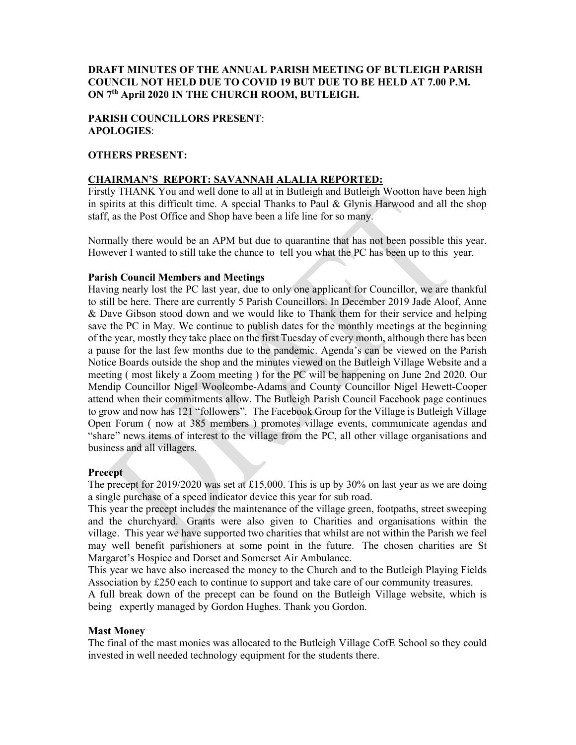## DRAFT MINUTES OF THE ANNUAL PARISH MEETING OF BUTLEIGH PARISH COUNCIL NOT HELD DUE TO COVID 19 BUT DUE TO BE HELD AT 7.00 P.M. ON 7th April 2020 IN THE CHURCH ROOM, BUTLEIGH.

## PARISH COUNCILLORS PRESENT: APOLOGIES:

## OTHERS PRESENT:

### CHAIRMAN'S REPORT: SAVANNAH ALALIA REPORTED:

Firstly THANK You and well done to all at in Butleigh and Butleigh Wootton have been high in spirits at this difficult time. A special Thanks to Paul & Glynis Harwood and all the shop staff, as the Post Office and Shop have been a life line for so many.

Normally there would be an APM but due to quarantine that has not been possible this year. However I wanted to still take the chance to tell you what the PC has been up to this year.

#### Parish Council Members and Meetings

Having nearly lost the PC last year, due to only one applicant for Councillor, we are thankful to still be here. There are currently 5 Parish Councillors. In December 2019 Jade Aloof, Anne & Dave Gibson stood down and we would like to Thank them for their service and helping save the PC in May. We continue to publish dates for the monthly meetings at the beginning of the year, mostly they take place on the first Tuesday of every month, although there has been a pause for the last few months due to the pandemic. Agenda's can be viewed on the Parish Notice Boards outside the shop and the minutes viewed on the Butleigh Village Website and a meeting ( most likely a Zoom meeting ) for the PC will be happening on June 2nd 2020. Our Mendip Councillor Nigel Woolcombe-Adams and County Councillor Nigel Hewett-Cooper attend when their commitments allow. The Butleigh Parish Council Facebook page continues to grow and now has 121 "followers". The Facebook Group for the Village is Butleigh Village Open Forum ( now at 385 members ) promotes village events, communicate agendas and "share" news items of interest to the village from the PC, all other village organisations and business and all villagers.

#### **Precept**

The precept for 2019/2020 was set at £15,000. This is up by 30% on last year as we are doing a single purchase of a speed indicator device this year for sub road.

This year the precept includes the maintenance of the village green, footpaths, street sweeping and the churchyard. Grants were also given to Charities and organisations within the village. This year we have supported two charities that whilst are not within the Parish we feel may well benefit parishioners at some point in the future. The chosen charities are St Margaret's Hospice and Dorset and Somerset Air Ambulance.

This year we have also increased the money to the Church and to the Butleigh Playing Fields Association by £250 each to continue to support and take care of our community treasures.

A full break down of the precept can be found on the Butleigh Village website, which is being expertly managed by Gordon Hughes. Thank you Gordon.

#### Mast Money

The final of the mast monies was allocated to the Butleigh Village CofE School so they could invested in well needed technology equipment for the students there.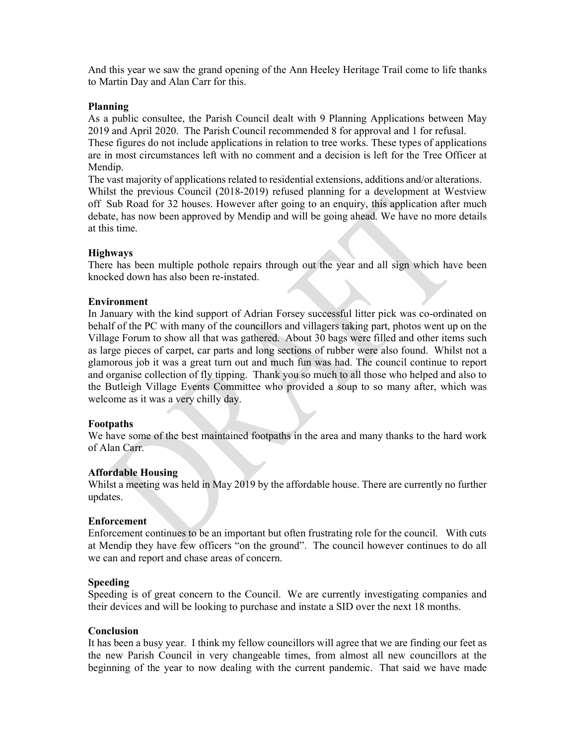And this year we saw the grand opening of the Ann Heeley Heritage Trail come to life thanks to Martin Day and Alan Carr for this.

#### Planning

As a public consultee, the Parish Council dealt with 9 Planning Applications between May 2019 and April 2020. The Parish Council recommended 8 for approval and 1 for refusal. These figures do not include applications in relation to tree works. These types of applications are in most circumstances left with no comment and a decision is left for the Tree Officer at Mendip.

The vast majority of applications related to residential extensions, additions and/or alterations. Whilst the previous Council (2018-2019) refused planning for a development at Westview off Sub Road for 32 houses. However after going to an enquiry, this application after much debate, has now been approved by Mendip and will be going ahead. We have no more details at this time.

### Highways

There has been multiple pothole repairs through out the year and all sign which have been knocked down has also been re-instated.

#### Environment

In January with the kind support of Adrian Forsey successful litter pick was co-ordinated on behalf of the PC with many of the councillors and villagers taking part, photos went up on the Village Forum to show all that was gathered. About 30 bags were filled and other items such as large pieces of carpet, car parts and long sections of rubber were also found. Whilst not a glamorous job it was a great turn out and much fun was had. The council continue to report and organise collection of fly tipping. Thank you so much to all those who helped and also to the Butleigh Village Events Committee who provided a soup to so many after, which was welcome as it was a very chilly day.

### Footpaths

We have some of the best maintained footpaths in the area and many thanks to the hard work of Alan Carr.

### Affordable Housing

Whilst a meeting was held in May 2019 by the affordable house. There are currently no further updates.

#### Enforcement

Enforcement continues to be an important but often frustrating role for the council. With cuts at Mendip they have few officers "on the ground". The council however continues to do all we can and report and chase areas of concern.

#### Speeding

Speeding is of great concern to the Council. We are currently investigating companies and their devices and will be looking to purchase and instate a SID over the next 18 months.

#### **Conclusion**

It has been a busy year. I think my fellow councillors will agree that we are finding our feet as the new Parish Council in very changeable times, from almost all new councillors at the beginning of the year to now dealing with the current pandemic. That said we have made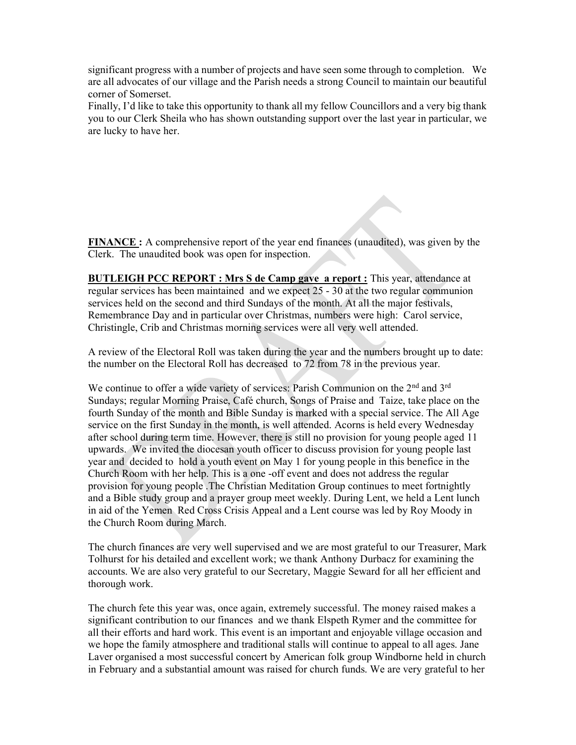significant progress with a number of projects and have seen some through to completion. We are all advocates of our village and the Parish needs a strong Council to maintain our beautiful corner of Somerset.

Finally, I'd like to take this opportunity to thank all my fellow Councillors and a very big thank you to our Clerk Sheila who has shown outstanding support over the last year in particular, we are lucky to have her.

FINANCE : A comprehensive report of the year end finances (unaudited), was given by the Clerk. The unaudited book was open for inspection.

BUTLEIGH PCC REPORT : Mrs S de Camp gave a report : This year, attendance at regular services has been maintained and we expect 25 - 30 at the two regular communion services held on the second and third Sundays of the month. At all the major festivals, Remembrance Day and in particular over Christmas, numbers were high: Carol service, Christingle, Crib and Christmas morning services were all very well attended.

A review of the Electoral Roll was taken during the year and the numbers brought up to date: the number on the Electoral Roll has decreased to 72 from 78 in the previous year.

We continue to offer a wide variety of services: Parish Communion on the 2<sup>nd</sup> and 3<sup>rd</sup> Sundays; regular Morning Praise, Café church, Songs of Praise and Taize, take place on the fourth Sunday of the month and Bible Sunday is marked with a special service. The All Age service on the first Sunday in the month, is well attended. Acorns is held every Wednesday after school during term time. However, there is still no provision for young people aged 11 upwards. We invited the diocesan youth officer to discuss provision for young people last year and decided to hold a youth event on May 1 for young people in this benefice in the Church Room with her help. This is a one -off event and does not address the regular provision for young people .The Christian Meditation Group continues to meet fortnightly and a Bible study group and a prayer group meet weekly. During Lent, we held a Lent lunch in aid of the Yemen Red Cross Crisis Appeal and a Lent course was led by Roy Moody in the Church Room during March.

The church finances are very well supervised and we are most grateful to our Treasurer, Mark Tolhurst for his detailed and excellent work; we thank Anthony Durbacz for examining the accounts. We are also very grateful to our Secretary, Maggie Seward for all her efficient and thorough work.

The church fete this year was, once again, extremely successful. The money raised makes a significant contribution to our finances and we thank Elspeth Rymer and the committee for all their efforts and hard work. This event is an important and enjoyable village occasion and we hope the family atmosphere and traditional stalls will continue to appeal to all ages. Jane Laver organised a most successful concert by American folk group Windborne held in church in February and a substantial amount was raised for church funds. We are very grateful to her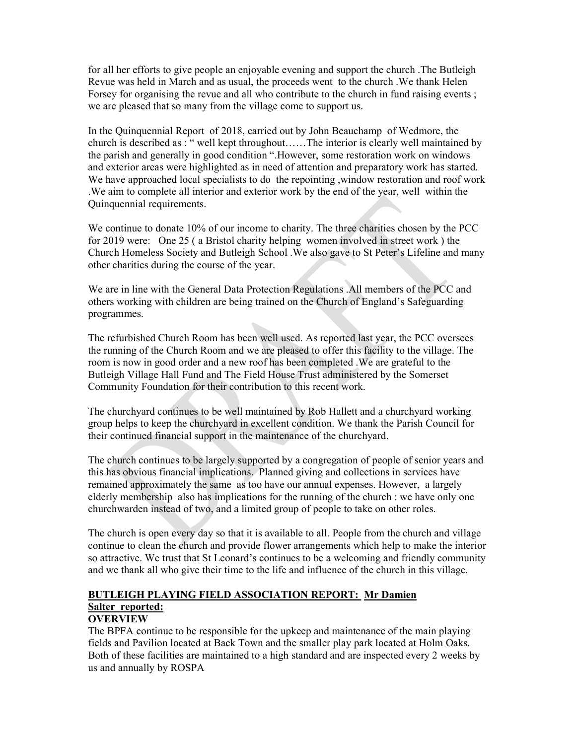for all her efforts to give people an enjoyable evening and support the church .The Butleigh Revue was held in March and as usual, the proceeds went to the church .We thank Helen Forsey for organising the revue and all who contribute to the church in fund raising events; we are pleased that so many from the village come to support us.

In the Quinquennial Report of 2018, carried out by John Beauchamp of Wedmore, the church is described as : " well kept throughout……The interior is clearly well maintained by the parish and generally in good condition ".However, some restoration work on windows and exterior areas were highlighted as in need of attention and preparatory work has started. We have approached local specialists to do the repointing ,window restoration and roof work .We aim to complete all interior and exterior work by the end of the year, well within the Quinquennial requirements.

We continue to donate 10% of our income to charity. The three charities chosen by the PCC for 2019 were: One 25 ( a Bristol charity helping women involved in street work ) the Church Homeless Society and Butleigh School .We also gave to St Peter's Lifeline and many other charities during the course of the year.

We are in line with the General Data Protection Regulations .All members of the PCC and others working with children are being trained on the Church of England's Safeguarding programmes.

The refurbished Church Room has been well used. As reported last year, the PCC oversees the running of the Church Room and we are pleased to offer this facility to the village. The room is now in good order and a new roof has been completed .We are grateful to the Butleigh Village Hall Fund and The Field House Trust administered by the Somerset Community Foundation for their contribution to this recent work.

The churchyard continues to be well maintained by Rob Hallett and a churchyard working group helps to keep the churchyard in excellent condition. We thank the Parish Council for their continued financial support in the maintenance of the churchyard.

The church continues to be largely supported by a congregation of people of senior years and this has obvious financial implications. Planned giving and collections in services have remained approximately the same as too have our annual expenses. However, a largely elderly membership also has implications for the running of the church : we have only one churchwarden instead of two, and a limited group of people to take on other roles.

The church is open every day so that it is available to all. People from the church and village continue to clean the church and provide flower arrangements which help to make the interior so attractive. We trust that St Leonard's continues to be a welcoming and friendly community and we thank all who give their time to the life and influence of the church in this village.

# BUTLEIGH PLAYING FIELD ASSOCIATION REPORT: Mr Damien Salter reported:

## **OVERVIEW**

The BPFA continue to be responsible for the upkeep and maintenance of the main playing fields and Pavilion located at Back Town and the smaller play park located at Holm Oaks. Both of these facilities are maintained to a high standard and are inspected every 2 weeks by us and annually by ROSPA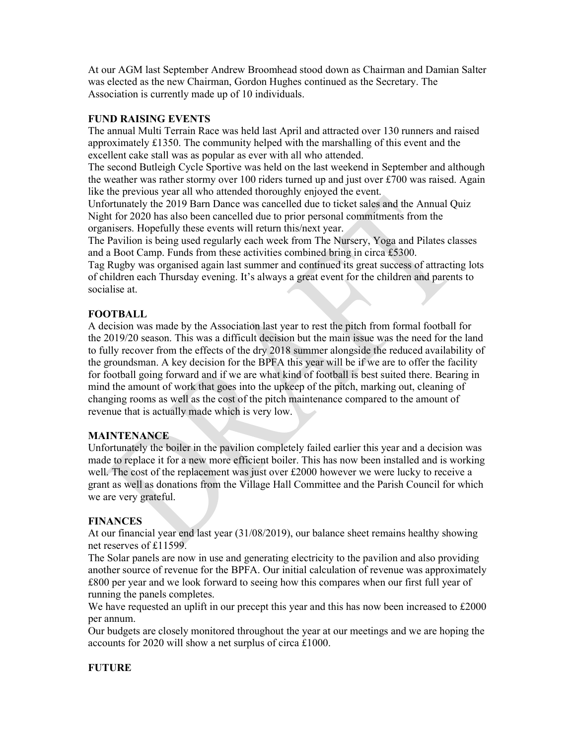At our AGM last September Andrew Broomhead stood down as Chairman and Damian Salter was elected as the new Chairman, Gordon Hughes continued as the Secretary. The Association is currently made up of 10 individuals.

## FUND RAISING EVENTS

The annual Multi Terrain Race was held last April and attracted over 130 runners and raised approximately £1350. The community helped with the marshalling of this event and the excellent cake stall was as popular as ever with all who attended.

The second Butleigh Cycle Sportive was held on the last weekend in September and although the weather was rather stormy over 100 riders turned up and just over £700 was raised. Again like the previous year all who attended thoroughly enjoyed the event.

Unfortunately the 2019 Barn Dance was cancelled due to ticket sales and the Annual Quiz Night for 2020 has also been cancelled due to prior personal commitments from the organisers. Hopefully these events will return this/next year.

The Pavilion is being used regularly each week from The Nursery, Yoga and Pilates classes and a Boot Camp. Funds from these activities combined bring in circa £5300.

Tag Rugby was organised again last summer and continued its great success of attracting lots of children each Thursday evening. It's always a great event for the children and parents to socialise at.

## FOOTBALL

A decision was made by the Association last year to rest the pitch from formal football for the 2019/20 season. This was a difficult decision but the main issue was the need for the land to fully recover from the effects of the dry 2018 summer alongside the reduced availability of the groundsman. A key decision for the BPFA this year will be if we are to offer the facility for football going forward and if we are what kind of football is best suited there. Bearing in mind the amount of work that goes into the upkeep of the pitch, marking out, cleaning of changing rooms as well as the cost of the pitch maintenance compared to the amount of revenue that is actually made which is very low.

### **MAINTENANCE**

Unfortunately the boiler in the pavilion completely failed earlier this year and a decision was made to replace it for a new more efficient boiler. This has now been installed and is working well. The cost of the replacement was just over £2000 however we were lucky to receive a grant as well as donations from the Village Hall Committee and the Parish Council for which we are very grateful.

### FINANCES

At our financial year end last year (31/08/2019), our balance sheet remains healthy showing net reserves of £11599.

The Solar panels are now in use and generating electricity to the pavilion and also providing another source of revenue for the BPFA. Our initial calculation of revenue was approximately £800 per year and we look forward to seeing how this compares when our first full year of running the panels completes.

We have requested an uplift in our precept this year and this has now been increased to £2000 per annum.

Our budgets are closely monitored throughout the year at our meetings and we are hoping the accounts for 2020 will show a net surplus of circa £1000.

## FUTURE